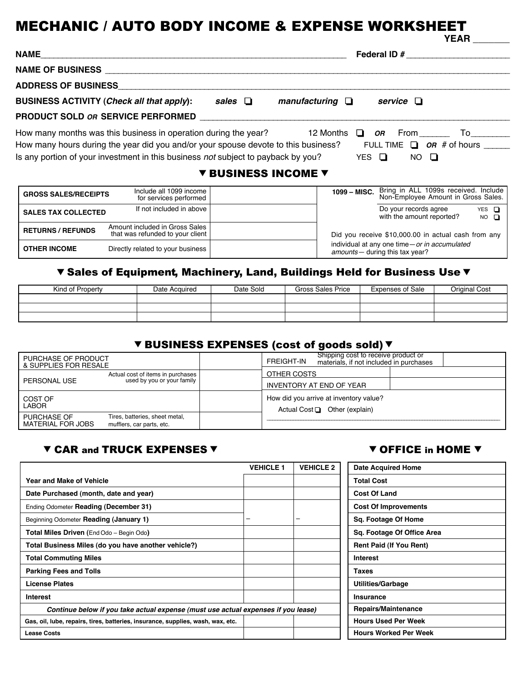#### MECHANIC / AUTO BODY INCOME & EXPENSE WORKSHEET **YEAR \_\_\_\_\_\_\_**

|                                                                                                                          |                            |                      |  |                | $\blacksquare$                                |  |
|--------------------------------------------------------------------------------------------------------------------------|----------------------------|----------------------|--|----------------|-----------------------------------------------|--|
|                                                                                                                          |                            |                      |  |                |                                               |  |
|                                                                                                                          |                            |                      |  |                |                                               |  |
|                                                                                                                          |                            |                      |  |                |                                               |  |
| BUSINESS ACTIVITY (Check all that apply):                                                                                | sales $\Box$               | manufacturing $\Box$ |  | service $\Box$ |                                               |  |
| <b>PRODUCT SOLD OR SERVICE PERFORMED EXAMPLE ASSESS</b>                                                                  |                            |                      |  |                |                                               |  |
| How many months was this business in operation during the year? $\Box$ 2 Months $\Box$ or From $\Box$ To $\Box$          |                            |                      |  |                |                                               |  |
| How many hours during the year did you and/or your spouse devote to this business? FULL TIME $\Box$ OR # of hours ______ |                            |                      |  |                |                                               |  |
| Is any portion of your investment in this business not subject to payback by you? YES $\Box$ NO $\Box$                   |                            |                      |  |                |                                               |  |
|                                                                                                                          | <b>V BUSINESS INCOME V</b> |                      |  |                |                                               |  |
| lnelude all 1000 income                                                                                                  |                            |                      |  |                | 1000 MISC Bring in ALL 1099s received Include |  |

| <b>GROSS SALES/RECEIPTS</b> | Include all 1099 income<br>for services performed                  | 1099 - MISC. | Bring in ALL 1099s received. Include<br>Non-Employee Amount in Gross Sales.      |                             |
|-----------------------------|--------------------------------------------------------------------|--------------|----------------------------------------------------------------------------------|-----------------------------|
| <b>SALES TAX COLLECTED</b>  | If not included in above                                           |              | Do your records agree<br>with the amount reported?                               | $YES$ $\Box$<br>$NO$ $\Box$ |
| <b>RETURNS / REFUNDS</b>    | Amount included in Gross Sales<br>that was refunded to your client |              | Did you receive \$10,000.00 in actual cash from any                              |                             |
| <b>OTHER INCOME</b>         | Directly related to your business                                  |              | individual at any one time - or in accumulated<br>amounts- during this tax year? |                             |

## ▼ Sales of Equipment, Machinery, Land, Buildings Held for Business Use ▼

| Kind of Property | Date Acquired | Date Sold | Gross Sales Price | <b>Expenses of Sale</b> | Original Cost |
|------------------|---------------|-----------|-------------------|-------------------------|---------------|
|                  |               |           |                   |                         |               |
|                  |               |           |                   |                         |               |
|                  |               |           |                   |                         |               |

# **V BUSINESS EXPENSES (cost of goods sold) V**

| PURCHASE OF PRODUCT<br>& SUPPLIES FOR RESALE |                                                             | FREIGHT-IN  | Shipping cost to receive product or<br>materials, if not included in purchases |  |
|----------------------------------------------|-------------------------------------------------------------|-------------|--------------------------------------------------------------------------------|--|
|                                              | Actual cost of items in purchases                           | OTHER COSTS |                                                                                |  |
| PERSONAL USE                                 | used by you or your family                                  |             | INVENTORY AT END OF YEAR                                                       |  |
| COST OF<br><b>LABOR</b>                      |                                                             |             | How did you arrive at inventory value?<br>Actual Cost $\Box$ Other (explain)   |  |
| <b>PURCHASE OF</b><br>MATERIAL FOR JOBS      | Tires, batteries, sheet metal,<br>mufflers, car parts, etc. |             |                                                                                |  |

#### ▼ CAR and TRUCK EXPENSES ▼ OFFICE in HOME ▼

| <b>Date Acquired Home</b>      |  |
|--------------------------------|--|
| <b>Total Cost</b>              |  |
| <b>Cost Of Land</b>            |  |
| <b>Cost Of Improvements</b>    |  |
| Sq. Footage Of Home            |  |
| Sq. Footage Of Office Area     |  |
| <b>Rent Paid (If You Rent)</b> |  |
| <b>Interest</b>                |  |
| <b>Taxes</b>                   |  |
| <b>Utilities/Garbage</b>       |  |
| Insurance                      |  |
| <b>Repairs/Maintenance</b>     |  |
| <b>Hours Used Per Week</b>     |  |
| <b>Hours Worked Per Week</b>   |  |

|                                                                                   | <b>VEHICLE 1</b> | <b>VEHICLE 2</b> | <b>Date Acquired Home</b>      |
|-----------------------------------------------------------------------------------|------------------|------------------|--------------------------------|
| Year and Make of Vehicle                                                          |                  |                  | <b>Total Cost</b>              |
| Date Purchased (month, date and year)                                             |                  |                  | <b>Cost Of Land</b>            |
| Ending Odometer Reading (December 31)                                             |                  |                  | <b>Cost Of Improvements</b>    |
| Beginning Odometer Reading (January 1)                                            | -                | -                | Sq. Footage Of Home            |
| <b>Total Miles Driven (End Odo – Begin Odo)</b>                                   |                  |                  | Sq. Footage Of Office Area     |
| Total Business Miles (do you have another vehicle?)                               |                  |                  | <b>Rent Paid (If You Rent)</b> |
| <b>Total Commuting Miles</b>                                                      |                  |                  | Interest                       |
| <b>Parking Fees and Tolls</b>                                                     |                  |                  | Taxes                          |
| <b>License Plates</b>                                                             |                  |                  | <b>Utilities/Garbage</b>       |
| <b>Interest</b>                                                                   |                  |                  | Insurance                      |
| Continue below if you take actual expense (must use actual expenses if you lease) |                  |                  | Repairs/Maintenance            |
| Gas, oil, lube, repairs, tires, batteries, insurance, supplies, wash, wax, etc.   |                  |                  | <b>Hours Used Per Week</b>     |
| <b>Lease Costs</b>                                                                |                  |                  | <b>Hours Worked Per Week</b>   |